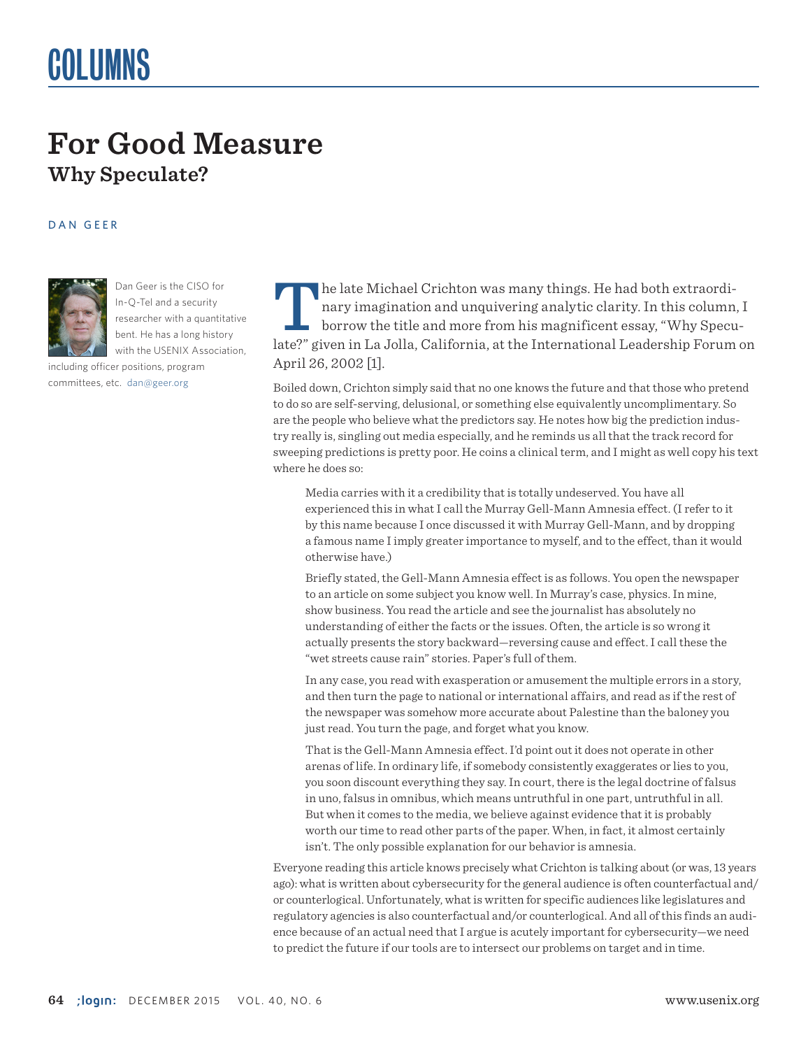# COLUMNS

## **For Good Measure Why Speculate?**

#### DAN GEER



Dan Geer is the CISO for In-Q-Tel and a security researcher with a quantitative bent. He has a long history with the USENIX Association,

including officer positions, program committees, etc. [dan@geer.org](mailto:dan@geer.org)

The late Michael Crichton was many things. He had both extraordinary imagination and unquivering analytic clarity. In this column, I borrow the title and more from his magnificent essay, "Why Speculate?" given in La Jolla, California, at the International Leadership Forum on April 26, 2002 [1].

Boiled down, Crichton simply said that no one knows the future and that those who pretend to do so are self-serving, delusional, or something else equivalently uncomplimentary. So are the people who believe what the predictors say. He notes how big the prediction industry really is, singling out media especially, and he reminds us all that the track record for sweeping predictions is pretty poor. He coins a clinical term, and I might as well copy his text where he does so:

Media carries with it a credibility that is totally undeserved. You have all experienced this in what I call the Murray Gell-Mann Amnesia effect. (I refer to it by this name because I once discussed it with Murray Gell-Mann, and by dropping a famous name I imply greater importance to myself, and to the effect, than it would otherwise have.)

Briefly stated, the Gell-Mann Amnesia effect is as follows. You open the newspaper to an article on some subject you know well. In Murray's case, physics. In mine, show business. You read the article and see the journalist has absolutely no understanding of either the facts or the issues. Often, the article is so wrong it actually presents the story backward—reversing cause and effect. I call these the "wet streets cause rain" stories. Paper's full of them.

In any case, you read with exasperation or amusement the multiple errors in a story, and then turn the page to national or international affairs, and read as if the rest of the newspaper was somehow more accurate about Palestine than the baloney you just read. You turn the page, and forget what you know.

That is the Gell-Mann Amnesia effect. I'd point out it does not operate in other arenas of life. In ordinary life, if somebody consistently exaggerates or lies to you, you soon discount everything they say. In court, there is the legal doctrine of falsus in uno, falsus in omnibus, which means untruthful in one part, untruthful in all. But when it comes to the media, we believe against evidence that it is probably worth our time to read other parts of the paper. When, in fact, it almost certainly isn't. The only possible explanation for our behavior is amnesia.

Everyone reading this article knows precisely what Crichton is talking about (or was, 13 years ago): what is written about cybersecurity for the general audience is often counterfactual and/ or counterlogical. Unfortunately, what is written for specific audiences like legislatures and regulatory agencies is also counterfactual and/or counterlogical. And all of this finds an audience because of an actual need that I argue is acutely important for cybersecurity—we need to predict the future if our tools are to intersect our problems on target and in time.